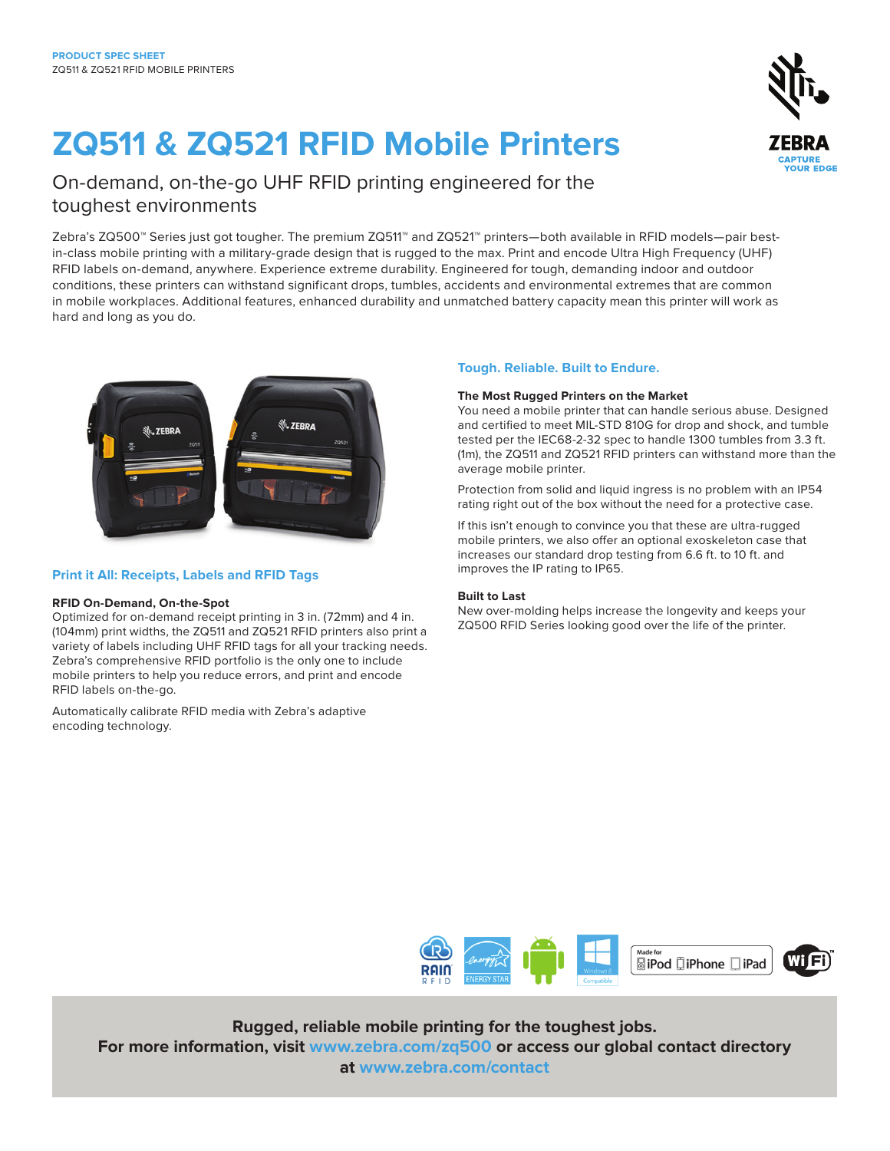# **ZQ511 & ZQ521 RFID Mobile Printers**



### On-demand, on-the-go UHF RFID printing engineered for the toughest environments

Zebra's ZQ500™ Series just got tougher. The premium ZQ511™ and ZQ521™ printers—both available in RFID models—pair bestin-class mobile printing with a military-grade design that is rugged to the max. Print and encode Ultra High Frequency (UHF) RFID labels on-demand, anywhere. Experience extreme durability. Engineered for tough, demanding indoor and outdoor conditions, these printers can withstand significant drops, tumbles, accidents and environmental extremes that are common in mobile workplaces. Additional features, enhanced durability and unmatched battery capacity mean this printer will work as hard and long as you do.



### **Print it All: Receipts, Labels and RFID Tags**

#### **RFID On-Demand, On-the-Spot**

Optimized for on-demand receipt printing in 3 in. (72mm) and 4 in. (104mm) print widths, the ZQ511 and ZQ521 RFID printers also print a variety of labels including UHF RFID tags for all your tracking needs. Zebra's comprehensive RFID portfolio is the only one to include mobile printers to help you reduce errors, and print and encode RFID labels on-the-go.

Automatically calibrate RFID media with Zebra's adaptive encoding technology.

### **Tough. Reliable. Built to Endure.**

#### **The Most Rugged Printers on the Market**

You need a mobile printer that can handle serious abuse. Designed and certified to meet MIL-STD 810G for drop and shock, and tumble tested per the IEC68-2-32 spec to handle 1300 tumbles from 3.3 ft. (1m), the ZQ511 and ZQ521 RFID printers can withstand more than the average mobile printer.

Protection from solid and liquid ingress is no problem with an IP54 rating right out of the box without the need for a protective case.

If this isn't enough to convince you that these are ultra-rugged mobile printers, we also offer an optional exoskeleton case that increases our standard drop testing from 6.6 ft. to 10 ft. and improves the IP rating to IP65.

#### **Built to Last**

New over-molding helps increase the longevity and keeps your ZQ500 RFID Series looking good over the life of the printer.



### **Rugged, reliable mobile printing for the toughest jobs.**

**For more information, visit [www.zebra.com/z](http://www.zebra.com/zq500)q500 or access our global contact directory at [www.zebra.com/contact](http://www.zebra.com/contact)**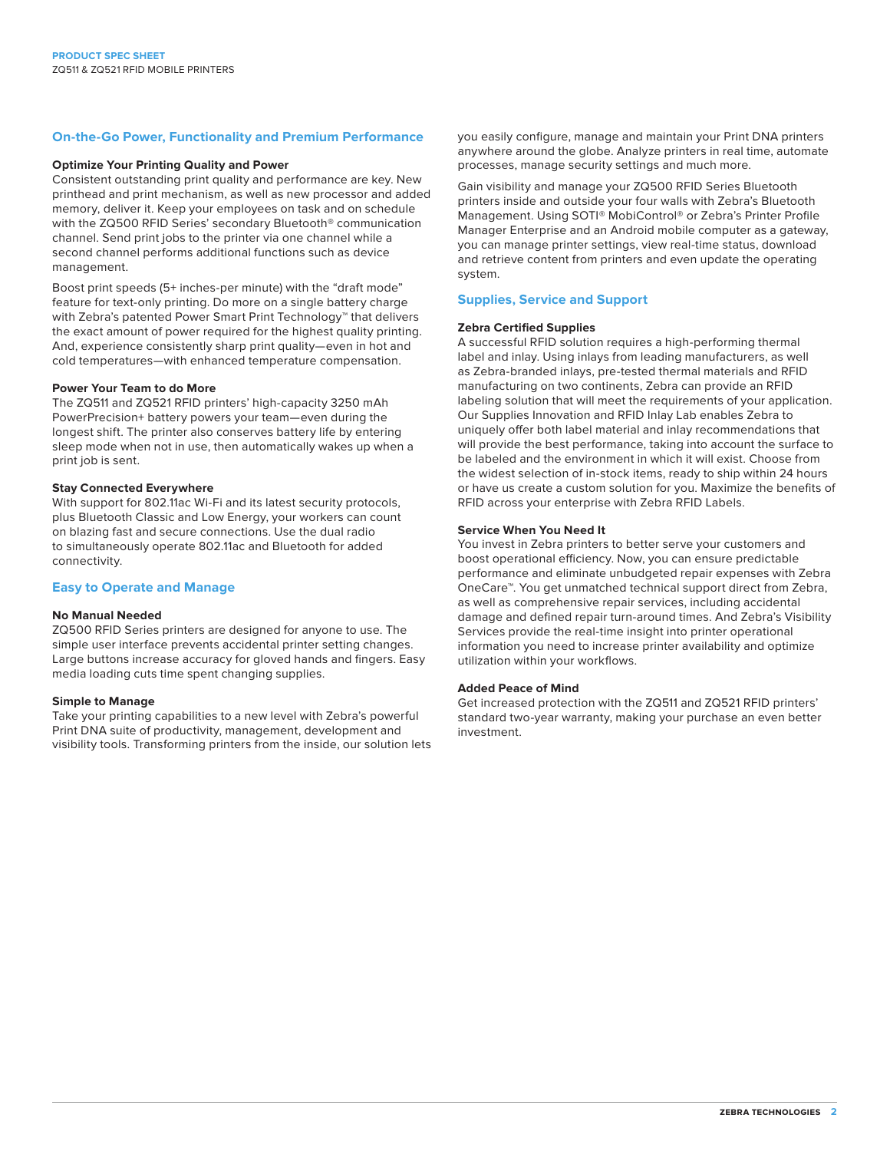#### **On-the-Go Power, Functionality and Premium Performance**

#### **Optimize Your Printing Quality and Power**

Consistent outstanding print quality and performance are key. New printhead and print mechanism, as well as new processor and added memory, deliver it. Keep your employees on task and on schedule with the ZQ500 RFID Series' secondary Bluetooth® communication channel. Send print jobs to the printer via one channel while a second channel performs additional functions such as device management.

Boost print speeds (5+ inches-per minute) with the "draft mode" feature for text-only printing. Do more on a single battery charge with Zebra's patented Power Smart Print Technology<sup>™</sup> that delivers the exact amount of power required for the highest quality printing. And, experience consistently sharp print quality—even in hot and cold temperatures—with enhanced temperature compensation.

#### **Power Your Team to do More**

The ZQ511 and ZQ521 RFID printers' high-capacity 3250 mAh PowerPrecision+ battery powers your team—even during the longest shift. The printer also conserves battery life by entering sleep mode when not in use, then automatically wakes up when a print job is sent.

#### **Stay Connected Everywhere**

With support for 802.11ac Wi-Fi and its latest security protocols, plus Bluetooth Classic and Low Energy, your workers can count on blazing fast and secure connections. Use the dual radio to simultaneously operate 802.11ac and Bluetooth for added connectivity.

#### **Easy to Operate and Manage**

#### **No Manual Needed**

ZQ500 RFID Series printers are designed for anyone to use. The simple user interface prevents accidental printer setting changes. Large buttons increase accuracy for gloved hands and fingers. Easy media loading cuts time spent changing supplies.

#### **Simple to Manage**

Take your printing capabilities to a new level with Zebra's powerful Print DNA suite of productivity, management, development and visibility tools. Transforming printers from the inside, our solution lets you easily configure, manage and maintain your Print DNA printers anywhere around the globe. Analyze printers in real time, automate processes, manage security settings and much more.

Gain visibility and manage your ZQ500 RFID Series Bluetooth printers inside and outside your four walls with Zebra's Bluetooth Management. Using SOTI® MobiControl® or Zebra's Printer Profile Manager Enterprise and an Android mobile computer as a gateway, you can manage printer settings, view real-time status, download and retrieve content from printers and even update the operating system.

#### **Supplies, Service and Support**

#### **Zebra Certified Supplies**

A successful RFID solution requires a high-performing thermal label and inlay. Using inlays from leading manufacturers, as well as Zebra-branded inlays, pre-tested thermal materials and RFID manufacturing on two continents, Zebra can provide an RFID labeling solution that will meet the requirements of your application. Our Supplies Innovation and RFID Inlay Lab enables Zebra to uniquely offer both label material and inlay recommendations that will provide the best performance, taking into account the surface to be labeled and the environment in which it will exist. Choose from the widest selection of in-stock items, ready to ship within 24 hours or have us create a custom solution for you. Maximize the benefits of RFID across your enterprise with Zebra RFID Labels.

#### **Service When You Need It**

You invest in Zebra printers to better serve your customers and boost operational efficiency. Now, you can ensure predictable performance and eliminate unbudgeted repair expenses with Zebra OneCare™. You get unmatched technical support direct from Zebra, as well as comprehensive repair services, including accidental damage and defined repair turn-around times. And Zebra's Visibility Services provide the real-time insight into printer operational information you need to increase printer availability and optimize utilization within your workflows.

#### **Added Peace of Mind**

Get increased protection with the ZQ511 and ZQ521 RFID printers' standard two-year warranty, making your purchase an even better investment.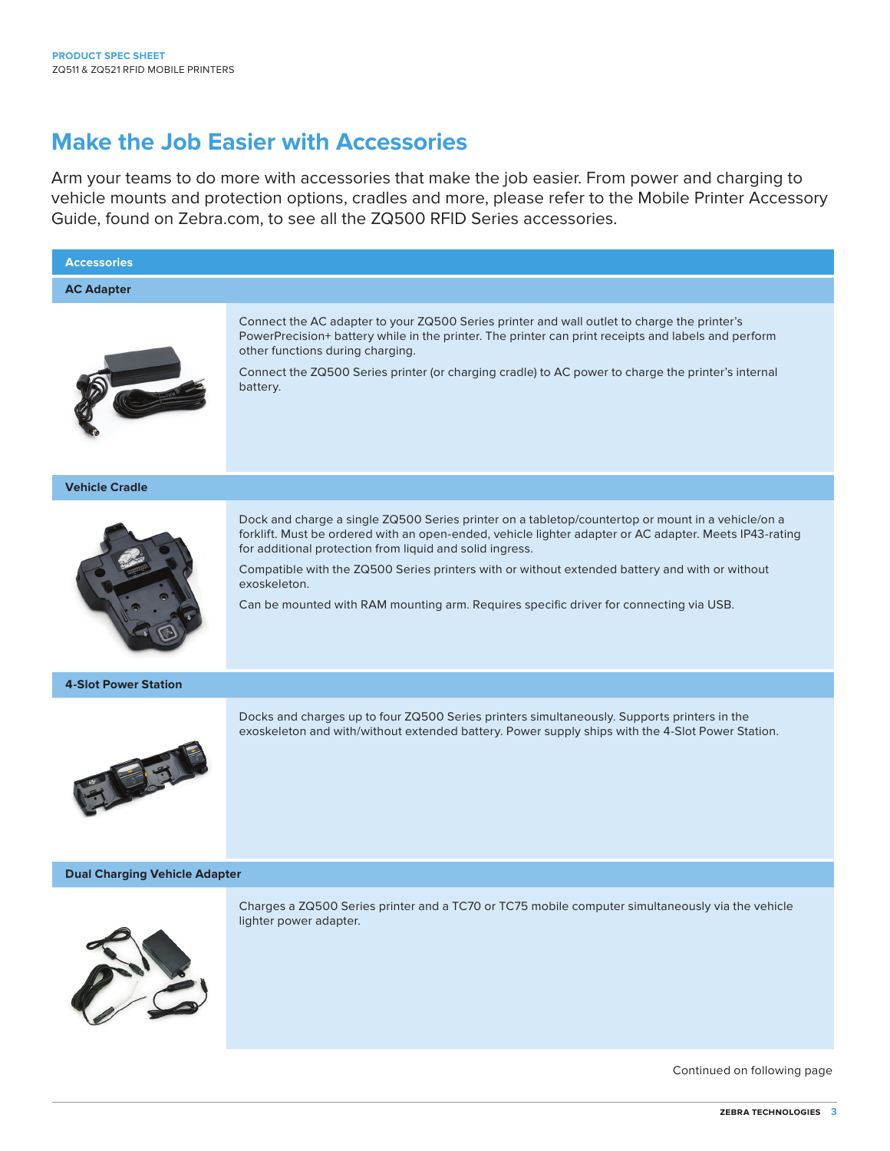## **Make the Job Easier with Accessories**

Arm your teams to do more with accessories that make the job easier. From power and charging to vehicle mounts and protection options, cradles and more, please refer to the Mobile Printer Accessory Guide, found on Zebra.com, to see all the ZQ500 RFID Series accessories.



Continued on following page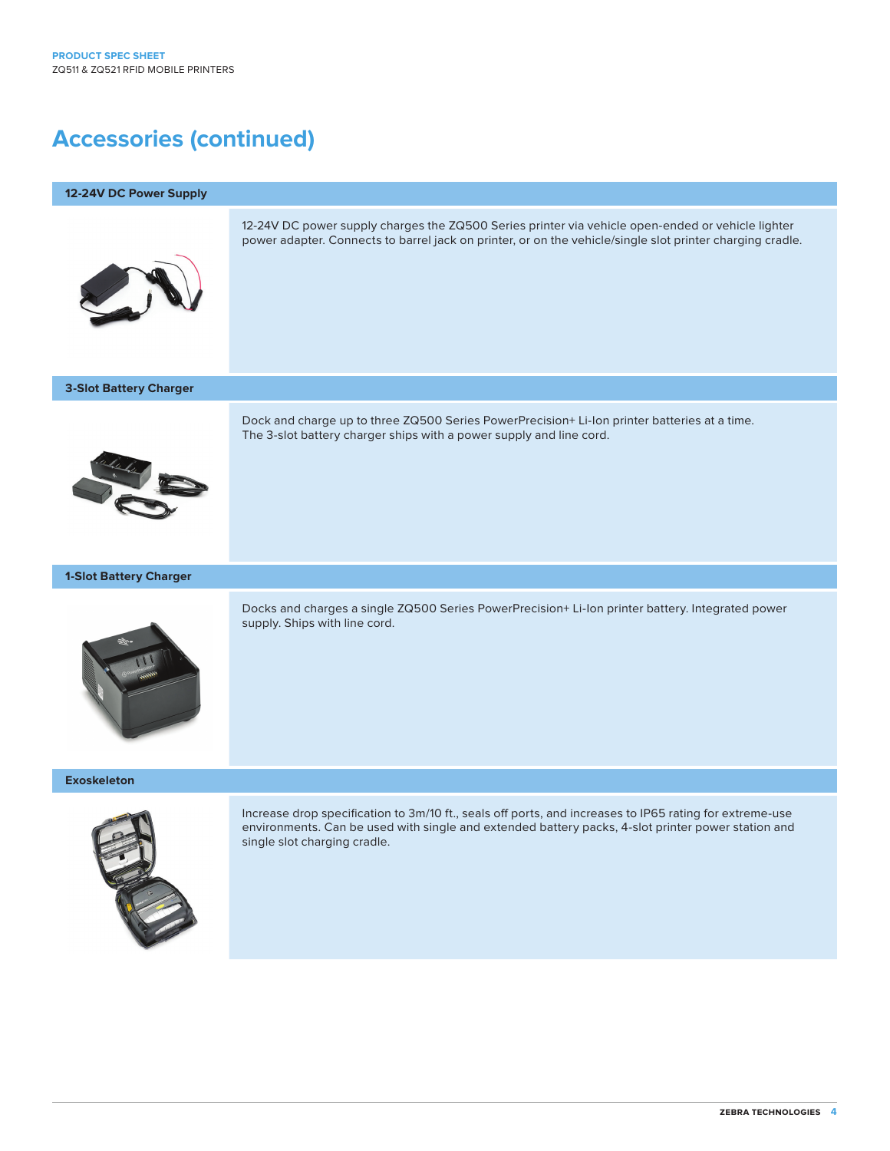# **Accessories (continued)**

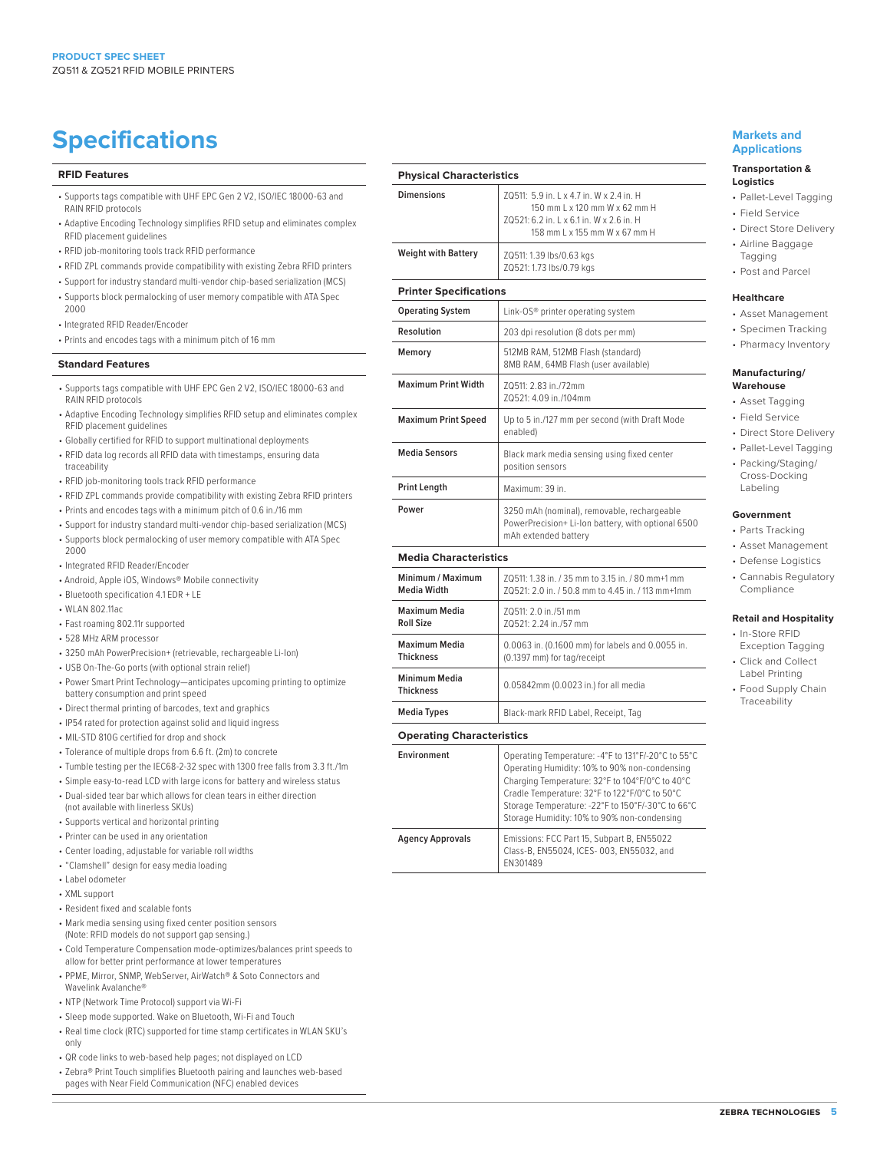# **Specifications Markets and** <br> **Specifications**

#### **RFID Features**

- Supports tags compatible with UHF EPC Gen 2 V2, ISO/IEC 18000-63 and RAIN RFID protocols
- Adaptive Encoding Technology simplifies RFID setup and eliminates complex RFID placement guidelines
- RFID job-monitoring tools track RFID performance
- RFID ZPL commands provide compatibility with existing Zebra RFID printers
- Support for industry standard multi-vendor chip-based serialization (MCS) • Supports block permalocking of user memory compatible with ATA Spec 2000
- Integrated RFID Reader/Encoder
- Prints and encodes tags with a minimum pitch of 16 mm

#### **Standard Features**

- Supports tags compatible with UHF EPC Gen 2 V2, ISO/IEC 18000-63 and RAIN RFID protocols
- Adaptive Encoding Technology simplifies RFID setup and eliminates complex RFID placement guidelines
- Globally certified for RFID to support multinational deployments
- RFID data log records all RFID data with timestamps, ensuring data traceability
- RFID job-monitoring tools track RFID performance
- RFID ZPL commands provide compatibility with existing Zebra RFID printers
- Prints and encodes tags with a minimum pitch of 0.6 in./16 mm
- Support for industry standard multi-vendor chip-based serialization (MCS) • Supports block permalocking of user memory compatible with ATA Spec
- 2000 • Integrated RFID Reader/Encoder
- 
- Android, Apple iOS, Windows® Mobile connectivity
- Bluetooth specification 4.1 EDR + LE
- WLAN 802.11ac
- Fast roaming 802.11r supported
- 528 MHz ARM processor
- 3250 mAh PowerPrecision+ (retrievable, rechargeable Li-Ion)
- USB On-The-Go ports (with optional strain relief)
- Power Smart Print Technology—anticipates upcoming printing to optimize battery consumption and print speed
- Direct thermal printing of barcodes, text and graphics
- IP54 rated for protection against solid and liquid ingress
- MIL-STD 810G certified for drop and shock
- Tolerance of multiple drops from 6.6 ft. (2m) to concrete
- Tumble testing per the IEC68-2-32 spec with 1300 free falls from 3.3 ft./1m
- Simple easy-to-read LCD with large icons for battery and wireless status • Dual-sided tear bar which allows for clean tears in either direction
- (not available with linerless SKUs)
- Supports vertical and horizontal printing
- Printer can be used in any orientation
- Center loading, adjustable for variable roll widths
- "Clamshell" design for easy media loading
- Label odometer
- XML support
- Resident fixed and scalable fonts
- Mark media sensing using fixed center position sensors (Note: RFID models do not support gap sensing.)
- Cold Temperature Compensation mode-optimizes/balances print speeds to allow for better print performance at lower temperatures
- PPME, Mirror, SNMP, WebServer, AirWatch® & Soto Connectors and Wavelink Avalanche®
- NTP (Network Time Protocol) support via Wi-Fi
- Sleep mode supported. Wake on Bluetooth, Wi-Fi and Touch
- Real time clock (RTC) supported for time stamp certificates in WLAN SKU's only
- QR code links to web-based help pages; not displayed on LCD
- Zebra® Print Touch simplifies Bluetooth pairing and launches web-based pages with Near Field Communication (NFC) enabled devices

| <b>Physical Characteristics</b> |                                                                                                                                                       |  |
|---------------------------------|-------------------------------------------------------------------------------------------------------------------------------------------------------|--|
| <b>Dimensions</b>               | 70511: 5.9 in. I x 4.7 in. W x 2.4 in. H<br>150 mm L x 120 mm W x 62 mm H<br>70521:6.2 in. 1 x 6.1 in. W x 2.6 in. H<br>158 mm L x 155 mm W x 67 mm H |  |
| <b>Weight with Battery</b>      | ZQ511: 1.39 lbs/0.63 kgs<br>ZQ521: 1.73 lbs/0.79 kgs                                                                                                  |  |
| <b>Printer Specifications</b>   |                                                                                                                                                       |  |
| <b>Operating System</b>         | Link-OS <sup>®</sup> printer operating system                                                                                                         |  |
| Resolution                      | 203 dpi resolution (8 dots per mm)                                                                                                                    |  |
| Memory                          | 512MB RAM, 512MB Flash (standard)<br>8MB RAM, 64MB Flash (user available)                                                                             |  |
| <b>Maximum Print Width</b>      | 70511: 2 83 in /72mm<br>70521: 4.09 in./104mm                                                                                                         |  |
| <b>Maximum Print Speed</b>      | Up to 5 in./127 mm per second (with Draft Mode<br>enabled)                                                                                            |  |
| <b>Media Sensors</b>            | Black mark media sensing using fixed center<br>position sensors                                                                                       |  |
| <b>Print Length</b>             | Maximum: 39 in.                                                                                                                                       |  |
| Power                           | 3250 mAh (nominal), removable, rechargeable<br>PowerPrecision+ Li-Ion battery, with optional 6500<br>mAh extended battery                             |  |
| <b>Media Characteristics</b>    |                                                                                                                                                       |  |
|                                 |                                                                                                                                                       |  |

| Minimum / Maximum                 | 70511: 1.38 in. / 35 mm to 3.15 in. / 80 mm+1 mm  |
|-----------------------------------|---------------------------------------------------|
| <b>Media Width</b>                | ZQ521: 2.0 in. / 50.8 mm to 4.45 in. / 113 mm+1mm |
| Maximum Media                     | 70511: 2.0 in./51 mm                              |
| <b>Roll Size</b>                  | 70521: 2.24 in /57 mm                             |
| <b>Maximum Media</b>              | 0.0063 in. (0.1600 mm) for labels and 0.0055 in.  |
| <b>Thickness</b>                  | (0.1397 mm) for tag/receipt                       |
| Minimum Media<br><b>Thickness</b> | 0.05842mm (0.0023 in.) for all media              |
| Media Types                       | Black-mark RFID Label, Receipt, Tag               |

#### **Operating Characteristics**

-

| <b>Environment</b> | Operating Temperature: - 4°F to 131°F/-20°C to 55°C<br>Operating Humidity: 10% to 90% non-condensing<br>Charging Temperature: 32°F to 104°F/0°C to 40°C<br>Cradle Temperature: 32°F to 122°F/0°C to 50°C<br>Storage Temperature: - 22°F to 150°F/-30°C to 66°C<br>Storage Humidity: 10% to 90% non-condensing |
|--------------------|---------------------------------------------------------------------------------------------------------------------------------------------------------------------------------------------------------------------------------------------------------------------------------------------------------------|
| Agency Approvals   | Emissions: FCC Part 15, Subpart B, EN55022<br>Class-B, EN55024, ICES-003, EN55032, and<br>EN301489                                                                                                                                                                                                            |

# **Applications**

#### **Transportation & Logistics**

- Pallet-Level Tagging
- Field Service
- Direct Store Delivery
	- Airline Baggage Tagging
	- Post and Parcel

#### **Healthcare**

- Asset Management
- Specimen Tracking
- Pharmacy Inventory

#### **Manufacturing/ Warehouse**

- Asset Tagging
- Field Service
- Direct Store Delivery
- Pallet-Level Tagging
- Packing/Staging/ Cross-Docking Labeling

#### **Government**

- Parts Tracking
- Asset Management
- Defense Logistics
- Cannabis Regulatory Compliance

#### **Retail and Hospitality**

- In-Store RFID
- Exception Tagging • Click and Collect
- Label Printing
- Food Supply Chain Traceability